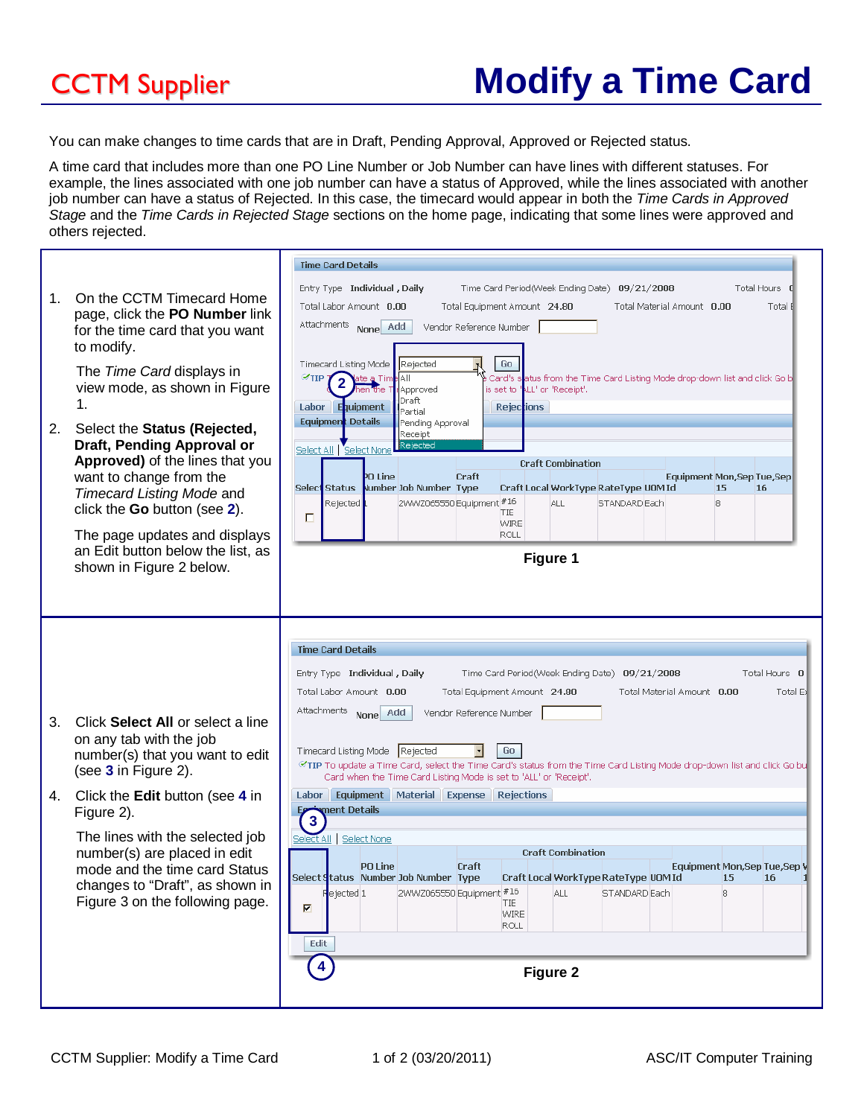You can make changes to time cards that are in Draft, Pending Approval, Approved or Rejected status.

A time card that includes more than one PO Line Number or Job Number can have lines with different statuses. For example, the lines associated with one job number can have a status of Approved, while the lines associated with another job number can have a status of Rejected. In this case, the timecard would appear in both the Time Cards in Approved Stage and the Time Cards in Rejected Stage sections on the home page, indicating that some lines were approved and others rejected.

|                                                                                                                                                                                                                                                                          |                                                                                                                                                                        | <b>Time Card Details</b>                                                                                                                                                                                                                                                                                                                                                                                                                                                                                                             |  |  |  |  |  |  |  |  |  |  |
|--------------------------------------------------------------------------------------------------------------------------------------------------------------------------------------------------------------------------------------------------------------------------|------------------------------------------------------------------------------------------------------------------------------------------------------------------------|--------------------------------------------------------------------------------------------------------------------------------------------------------------------------------------------------------------------------------------------------------------------------------------------------------------------------------------------------------------------------------------------------------------------------------------------------------------------------------------------------------------------------------------|--|--|--|--|--|--|--|--|--|--|
| 1.<br>to modify.<br>1.                                                                                                                                                                                                                                                   | On the CCTM Timecard Home<br>page, click the PO Number link<br>for the time card that you want<br>The Time Card displays in<br>view mode, as shown in Figure           | Entry Type Individual, Daily<br>Time Card Period(Week Ending Date) 09/21/2008<br>Total Hours<br>Total Labor Amount 0.00<br>Total Equipment Amount 24.80<br>Total Material Amount 0.00<br>Total <b>{</b><br>Attachments None Add<br>Vendor Reference Number<br>Timecard Listing Mode<br>Rejected<br>Go<br>∝тıр<br>All<br>Card's status from the Time Card Listing Mode drop-down list and click Go b<br>ate a Tir<br>is set to 'ALL' or 'Receipt'.<br>Approved<br>Draft<br><b>E</b> quipment<br><b>Rejections</b><br>Labor<br>Partial |  |  |  |  |  |  |  |  |  |  |
| 2.<br>Select the Status (Rejected,<br>Draft, Pending Approval or<br>Approved) of the lines that you<br>want to change from the<br><b>Timecard Listing Mode and</b><br>click the Go button (see 2).<br>The page updates and displays<br>an Edit button below the list, as |                                                                                                                                                                        | Equipmen: Details<br>Pending Approval<br>Receipt<br>Rejected<br>Select All Select None<br><b>Craft Combination</b><br>Craft<br>Equipment Mon,Sep Tue,Sep<br>PO Line<br><b>Jumber Job Number Type</b><br>Craft Local WorkType RateType UOM Id<br>Select Status<br>15<br>16<br>2WWZ065550 Equipment #16<br>Rejected<br>ALL.<br>8<br>STANDARD Each<br>TIE<br>п<br><b>WIRE</b><br><b>ROLL</b>                                                                                                                                            |  |  |  |  |  |  |  |  |  |  |
|                                                                                                                                                                                                                                                                          | shown in Figure 2 below.                                                                                                                                               | Figure 1                                                                                                                                                                                                                                                                                                                                                                                                                                                                                                                             |  |  |  |  |  |  |  |  |  |  |
|                                                                                                                                                                                                                                                                          |                                                                                                                                                                        | <b>Time Card Details</b><br>Entry Type Individual, Daily<br>Time Card Period(Week Ending Date) 09/21/2008<br>Total Hours 0<br>Total Labor Amount 0.00<br>Total Equipment Amount 24.80<br>Total Material Amount 0.00<br>Total El                                                                                                                                                                                                                                                                                                      |  |  |  |  |  |  |  |  |  |  |
| 3.                                                                                                                                                                                                                                                                       | Click Select All or select a line<br>on any tab with the job<br>number(s) that you want to edit<br>(see 3 in Figure 2).                                                | Attachments None Add<br>Vendor Reference Number<br>Timecard Listing Mode Rejected<br>Go<br>$\sigma$ TIP To update a Time Card, select the Time Card's status from the Time Card Listing Mode drop-down list and click Go bu<br>Card when the Time Card Listing Mode is set to 'ALL' or 'Receipt'.                                                                                                                                                                                                                                    |  |  |  |  |  |  |  |  |  |  |
| 4.<br>Figure 2).                                                                                                                                                                                                                                                         | Click the Edit button (see 4 in                                                                                                                                        | Labor Equipment Material Expense Rejections<br>Egriment Details                                                                                                                                                                                                                                                                                                                                                                                                                                                                      |  |  |  |  |  |  |  |  |  |  |
|                                                                                                                                                                                                                                                                          | The lines with the selected job<br>number(s) are placed in edit<br>mode and the time card Status<br>changes to "Draft", as shown in<br>Figure 3 on the following page. | $\mathbf{3}$<br>Select All Select None<br><b>Craft Combination</b><br>Equipment Mon, Sep Tue, Sep V<br>PO Line<br>Craft<br>Select Status Number Job Number Type<br>Craft Local WorkType RateType UOM Id<br>15<br>16<br>Rejected <sub>1</sub><br>2WWZ065550 Equipment #16<br><b>ALL</b><br>8<br>STANDARD Each<br>TIE<br>$\overline{\textbf{v}}$<br><b>WIRE</b><br><b>ROLL</b><br>Edit                                                                                                                                                 |  |  |  |  |  |  |  |  |  |  |
|                                                                                                                                                                                                                                                                          |                                                                                                                                                                        | $\overline{4}$<br>Figure 2                                                                                                                                                                                                                                                                                                                                                                                                                                                                                                           |  |  |  |  |  |  |  |  |  |  |